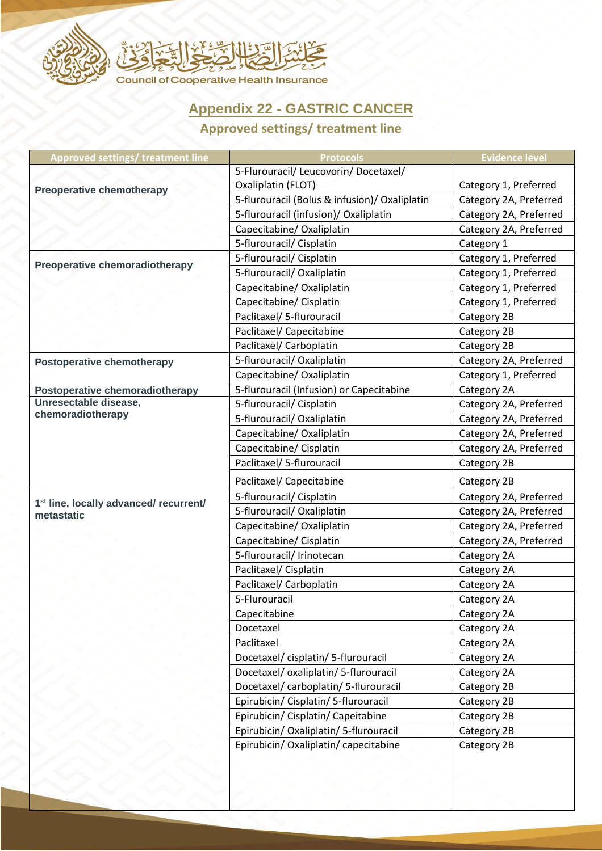

## **Appendix 22 - GASTRIC CANCER**

## **Approved settings/ treatment line**

| <b>Approved settings/ treatment line</b>                         | <b>Protocols</b>                              | <b>Evidence level</b>  |
|------------------------------------------------------------------|-----------------------------------------------|------------------------|
| <b>Preoperative chemotherapy</b>                                 | 5-Flurouracil/ Leucovorin/ Docetaxel/         |                        |
|                                                                  | Oxaliplatin (FLOT)                            | Category 1, Preferred  |
|                                                                  | 5-flurouracil (Bolus & infusion)/ Oxaliplatin | Category 2A, Preferred |
|                                                                  | 5-flurouracil (infusion)/ Oxaliplatin         | Category 2A, Preferred |
|                                                                  | Capecitabine/ Oxaliplatin                     | Category 2A, Preferred |
|                                                                  | 5-flurouracil/ Cisplatin                      | Category 1             |
| Preoperative chemoradiotherapy                                   | 5-flurouracil/ Cisplatin                      | Category 1, Preferred  |
|                                                                  | 5-flurouracil/ Oxaliplatin                    | Category 1, Preferred  |
|                                                                  | Capecitabine/ Oxaliplatin                     | Category 1, Preferred  |
|                                                                  | Capecitabine/ Cisplatin                       | Category 1, Preferred  |
|                                                                  | Paclitaxel/ 5-flurouracil                     | Category 2B            |
|                                                                  | Paclitaxel/ Capecitabine                      | Category 2B            |
|                                                                  | Paclitaxel/ Carboplatin                       | Category 2B            |
| <b>Postoperative chemotherapy</b>                                | 5-flurouracil/Oxaliplatin                     | Category 2A, Preferred |
|                                                                  | Capecitabine/ Oxaliplatin                     | Category 1, Preferred  |
| Postoperative chemoradiotherapy                                  | 5-flurouracil (Infusion) or Capecitabine      | Category 2A            |
| Unresectable disease,<br>chemoradiotherapy                       | 5-flurouracil/ Cisplatin                      | Category 2A, Preferred |
|                                                                  | 5-flurouracil/ Oxaliplatin                    | Category 2A, Preferred |
|                                                                  | Capecitabine/ Oxaliplatin                     | Category 2A, Preferred |
|                                                                  | Capecitabine/ Cisplatin                       | Category 2A, Preferred |
|                                                                  | Paclitaxel/ 5-flurouracil                     | Category 2B            |
|                                                                  | Paclitaxel/ Capecitabine                      | Category 2B            |
|                                                                  | 5-flurouracil/ Cisplatin                      | Category 2A, Preferred |
| 1 <sup>st</sup> line, locally advanced/ recurrent/<br>metastatic | 5-flurouracil/ Oxaliplatin                    | Category 2A, Preferred |
|                                                                  | Capecitabine/ Oxaliplatin                     | Category 2A, Preferred |
|                                                                  | Capecitabine/ Cisplatin                       | Category 2A, Preferred |
|                                                                  | 5-flurouracil/ Irinotecan                     | Category 2A            |
|                                                                  | Paclitaxel/ Cisplatin                         | Category 2A            |
|                                                                  | Paclitaxel/ Carboplatin                       | Category 2A            |
|                                                                  | 5-Flurouracil                                 | Category 2A            |
|                                                                  | Capecitabine                                  | Category 2A            |
|                                                                  | Docetaxel                                     | Category 2A            |
|                                                                  | Paclitaxel                                    | Category 2A            |
|                                                                  | Docetaxel/cisplatin/5-flurouracil             | Category 2A            |
|                                                                  | Docetaxel/oxaliplatin/5-flurouracil           | Category 2A            |
|                                                                  | Docetaxel/ carboplatin/ 5-flurouracil         | Category 2B            |
|                                                                  | Epirubicin/ Cisplatin/ 5-flurouracil          | Category 2B            |
|                                                                  | Epirubicin/ Cisplatin/ Capeitabine            | Category 2B            |
|                                                                  | Epirubicin/ Oxaliplatin/ 5-flurouracil        | Category 2B            |
|                                                                  | Epirubicin/ Oxaliplatin/ capecitabine         | Category 2B            |
|                                                                  |                                               |                        |
|                                                                  |                                               |                        |
|                                                                  |                                               |                        |
|                                                                  |                                               |                        |